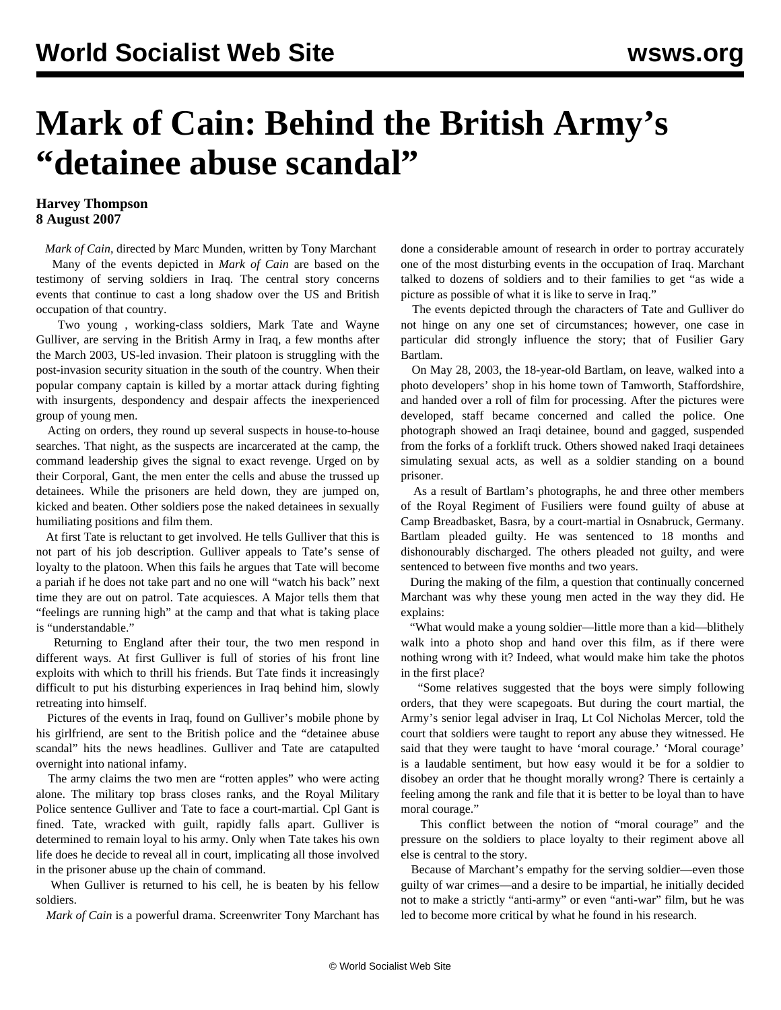## **Mark of Cain: Behind the British Army's "detainee abuse scandal"**

## **Harvey Thompson 8 August 2007**

 *Mark of Cain*, directed by Marc Munden, written by Tony Marchant Many of the events depicted in *Mark of Cain* are based on the testimony of serving soldiers in Iraq. The central story concerns events that continue to cast a long shadow over the US and British occupation of that country.

 Two young , working-class soldiers, Mark Tate and Wayne Gulliver, are serving in the British Army in Iraq, a few months after the March 2003, US-led invasion. Their platoon is struggling with the post-invasion security situation in the south of the country. When their popular company captain is killed by a mortar attack during fighting with insurgents, despondency and despair affects the inexperienced group of young men.

 Acting on orders, they round up several suspects in house-to-house searches. That night, as the suspects are incarcerated at the camp, the command leadership gives the signal to exact revenge. Urged on by their Corporal, Gant, the men enter the cells and abuse the trussed up detainees. While the prisoners are held down, they are jumped on, kicked and beaten. Other soldiers pose the naked detainees in sexually humiliating positions and film them.

 At first Tate is reluctant to get involved. He tells Gulliver that this is not part of his job description. Gulliver appeals to Tate's sense of loyalty to the platoon. When this fails he argues that Tate will become a pariah if he does not take part and no one will "watch his back" next time they are out on patrol. Tate acquiesces. A Major tells them that "feelings are running high" at the camp and that what is taking place is "understandable."

 Returning to England after their tour, the two men respond in different ways. At first Gulliver is full of stories of his front line exploits with which to thrill his friends. But Tate finds it increasingly difficult to put his disturbing experiences in Iraq behind him, slowly retreating into himself.

 Pictures of the events in Iraq, found on Gulliver's mobile phone by his girlfriend, are sent to the British police and the "detainee abuse scandal" hits the news headlines. Gulliver and Tate are catapulted overnight into national infamy.

 The army claims the two men are "rotten apples" who were acting alone. The military top brass closes ranks, and the Royal Military Police sentence Gulliver and Tate to face a court-martial. Cpl Gant is fined. Tate, wracked with guilt, rapidly falls apart. Gulliver is determined to remain loyal to his army. Only when Tate takes his own life does he decide to reveal all in court, implicating all those involved in the prisoner abuse up the chain of command.

 When Gulliver is returned to his cell, he is beaten by his fellow soldiers.

*Mark of Cain* is a powerful drama. Screenwriter Tony Marchant has

done a considerable amount of research in order to portray accurately one of the most disturbing events in the occupation of Iraq. Marchant talked to dozens of soldiers and to their families to get "as wide a picture as possible of what it is like to serve in Iraq."

 The events depicted through the characters of Tate and Gulliver do not hinge on any one set of circumstances; however, one case in particular did strongly influence the story; that of Fusilier Gary Bartlam.

 On May 28, 2003, the 18-year-old Bartlam, on leave, walked into a photo developers' shop in his home town of Tamworth, Staffordshire, and handed over a roll of film for processing. After the pictures were developed, staff became concerned and called the police. One photograph showed an Iraqi detainee, bound and gagged, suspended from the forks of a forklift truck. Others showed naked Iraqi detainees simulating sexual acts, as well as a soldier standing on a bound prisoner.

 As a result of Bartlam's photographs, he and three other members of the Royal Regiment of Fusiliers were found guilty of abuse at Camp Breadbasket, Basra, by a court-martial in Osnabruck, Germany. Bartlam pleaded guilty. He was sentenced to 18 months and dishonourably discharged. The others pleaded not guilty, and were sentenced to between five months and two years.

 During the making of the film, a question that continually concerned Marchant was why these young men acted in the way they did. He explains:

 "What would make a young soldier—little more than a kid—blithely walk into a photo shop and hand over this film, as if there were nothing wrong with it? Indeed, what would make him take the photos in the first place?

 "Some relatives suggested that the boys were simply following orders, that they were scapegoats. But during the court martial, the Army's senior legal adviser in Iraq, Lt Col Nicholas Mercer, told the court that soldiers were taught to report any abuse they witnessed. He said that they were taught to have 'moral courage.' 'Moral courage' is a laudable sentiment, but how easy would it be for a soldier to disobey an order that he thought morally wrong? There is certainly a feeling among the rank and file that it is better to be loyal than to have moral courage."

 This conflict between the notion of "moral courage" and the pressure on the soldiers to place loyalty to their regiment above all else is central to the story.

 Because of Marchant's empathy for the serving soldier—even those guilty of war crimes—and a desire to be impartial, he initially decided not to make a strictly "anti-army" or even "anti-war" film, but he was led to become more critical by what he found in his research.